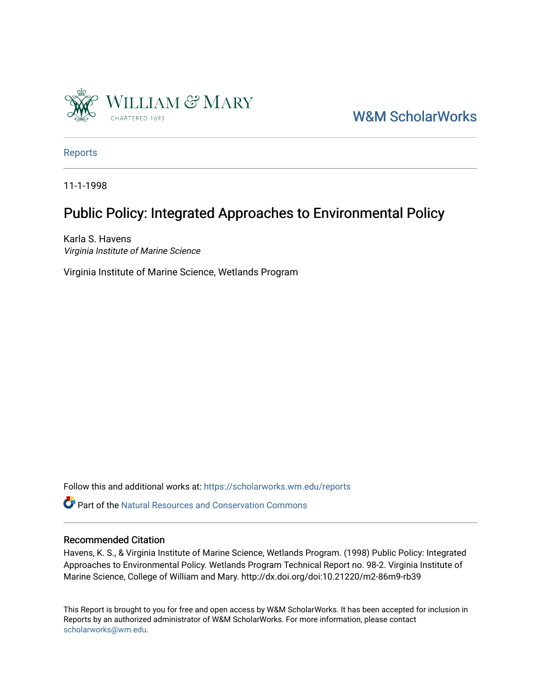

[W&M ScholarWorks](https://scholarworks.wm.edu/) 

[Reports](https://scholarworks.wm.edu/reports)

11-1-1998

## Public Policy: Integrated Approaches to Environmental Policy

Karla S. Havens Virginia Institute of Marine Science

Virginia Institute of Marine Science, Wetlands Program

Follow this and additional works at: [https://scholarworks.wm.edu/reports](https://scholarworks.wm.edu/reports?utm_source=scholarworks.wm.edu%2Freports%2F643&utm_medium=PDF&utm_campaign=PDFCoverPages)

**P** Part of the Natural Resources and Conservation Commons

#### Recommended Citation

Havens, K. S., & Virginia Institute of Marine Science, Wetlands Program. (1998) Public Policy: Integrated Approaches to Environmental Policy. Wetlands Program Technical Report no. 98-2. Virginia Institute of Marine Science, College of William and Mary. http://dx.doi.org/doi:10.21220/m2-86m9-rb39

This Report is brought to you for free and open access by W&M ScholarWorks. It has been accepted for inclusion in Reports by an authorized administrator of W&M ScholarWorks. For more information, please contact [scholarworks@wm.edu.](mailto:scholarworks@wm.edu)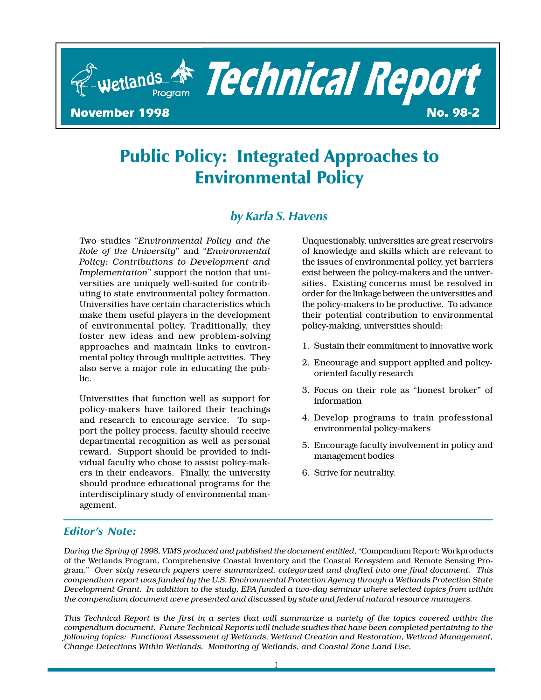

# Public Policy: Integrated Approaches to Environmental Policy

## by Karla S. Havens

Two studies "Environmental Policy and the Role of the University" and "Environmental Policy: Contributions to Development and Implementation" support the notion that universities are uniquely well-suited for contributing to state environmental policy formation. Universities have certain characteristics which make them useful players in the development of environmental policy. Traditionally, they foster new ideas and new problem-solving approaches and maintain links to environmental policy through multiple activities. They also serve a major role in educating the public.

Universities that function well as support for policy-makers have tailored their teachings and research to encourage service. To support the policy process, faculty should receive departmental recognition as well as personal reward. Support should be provided to individual faculty who chose to assist policy-makers in their endeavors. Finally, the university should produce educational programs for the interdisciplinary study of environmental management.

Unquestionably, universities are great reservoirs of knowledge and skills which are relevant to the issues of environmental policy, yet barriers exist between the policy-makers and the universities. Existing concerns must be resolved in order for the linkage between the universities and the policy-makers to be productive. To advance their potential contribution to environmental policy-making, universities should:

- 1. Sustain their commitment to innovative work
- 2. Encourage and support applied and policyoriented faculty research
- 3. Focus on their role as "honest broker" of information
- 4. Develop programs to train professional environmental policy-makers
- 5. Encourage faculty involvement in policy and management bodies
- 6. Strive for neutrality.

#### **Editor's Note:**

During the Spring of 1998, VIMS produced and published the document entitled, "Compendium Report: Workproducts of the Wetlands Program, Comprehensive Coastal Inventory and the Coastal Ecosystem and Remote Sensing Program." Over sixty research papers were summarized, categorized and drafted into one final document. This compendium report was funded by the U.S. Environmental Protection Agency through a Wetlands Protection State Development Grant. In addition to the study, EPA funded a two-day seminar where selected topics from within the compendium document were presented and discussed by state and federal natural resource managers.

This Technical Report is the first in a series that will summarize a variety of the topics covered within the compendium document. Future Technical Reports will include studies that have been completed pertaining to the following topics: Functional Assessment of Wetlands, Wetland Creation and Restoration, Wetland Management, Change Detections Within Wetlands, Monitoring of Wetlands, and Coastal Zone Land Use.

1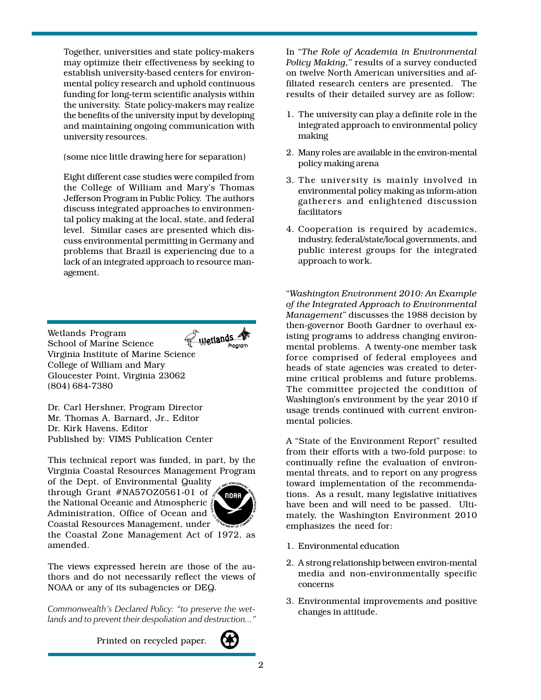Together, universities and state policy-makers may optimize their effectiveness by seeking to establish university-based centers for environmental policy research and uphold continuous funding for long-term scientific analysis within the university. State policy-makers may realize the benefits of the university input by developing and maintaining ongoing communication with university resources.

(some nice little drawing here for separation)

Eight different case studies were compiled from the College of William and Mary's Thomas Jefferson Program in Public Policy. The authors discuss integrated approaches to environmental policy making at the local, state, and federal level. Similar cases are presented which discuss environmental permitting in Germany and problems that Brazil is experiencing due to a lack of an integrated approach to resource management.

Wetlands Wetlands Program School of Marine Science Virginia Institute of Marine Science College of William and Mary Gloucester Point, Virginia 23062 (804) 684-7380

Dr. Carl Hershner, Program Director Mr. Thomas A. Barnard, Jr., Editor Dr. Kirk Havens, Editor Published by: VIMS Publication Center

This technical report was funded, in part, by the Virginia Coastal Resources Management Program of the Dept. of Environmental Quality through Grant #NA57OZ0561-01 of  $\sqrt{s}$ , NOAA the National Oceanic and Atmospheric Administration, Office of Ocean and<sup>3</sup> Coastal Resources Management, under



The views expressed herein are those of the authors and do not necessarily reflect the views of NOAA or any of its subagencies or DEQ.

Commonwealth's Declared Policy: "to preserve the wetlands and to prevent their despoliation and destruction..."

Printed on recycled paper.

In The Role of Academia in Environmental Policy Making," results of a survey conducted on twelve North American universities and affiliated research centers are presented. The results of their detailed survey are as follow:

- 1. The university can play a definite role in the integrated approach to environmental policy making
- 2. Many roles are available in the environ-mental policy making arena
- 3. The university is mainly involved in environmental policy making as inform-ation gatherers and enlightened discussion facilitators
- 4. Cooperation is required by academics, industry, federal/state/local governments, and public interest groups for the integrated approach to work.

Washington Environment 2010: An Example of the Integrated Approach to Environmental Management" discusses the 1988 decision by then-governor Booth Gardner to overhaul existing programs to address changing environmental problems. A twenty-one member task force comprised of federal employees and heads of state agencies was created to determine critical problems and future problems. The committee projected the condition of Washington's environment by the year 2010 if usage trends continued with current environmental policies.

A "State of the Environment Report" resulted from their efforts with a two-fold purpose: to continually refine the evaluation of environmental threats, and to report on any progress toward implementation of the recommendations. As a result, many legislative initiatives have been and will need to be passed. Ultimately, the Washington Environment 2010 emphasizes the need for:

- 1. Environmental education
- 2. A strong relationship between environ-mental media and non-environmentally specific concerns
- 3. Environmental improvements and positive changes in attitude.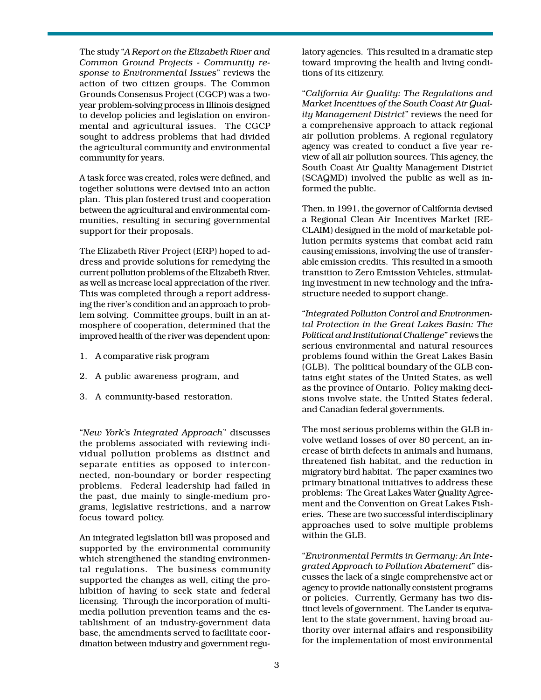The study "A Report on the Elizabeth River and Common Ground Projects - Community response to Environmental Issues" reviews the action of two citizen groups. The Common Grounds Consensus Project (CGCP) was a twoyear problem-solving process in Illinois designed to develop policies and legislation on environmental and agricultural issues. The CGCP sought to address problems that had divided the agricultural community and environmental community for years.

A task force was created, roles were defined, and together solutions were devised into an action plan. This plan fostered trust and cooperation between the agricultural and environmental communities, resulting in securing governmental support for their proposals.

The Elizabeth River Project (ERP) hoped to address and provide solutions for remedying the current pollution problems of the Elizabeth River, as well as increase local appreciation of the river. This was completed through a report addressing the river's condition and an approach to problem solving. Committee groups, built in an atmosphere of cooperation, determined that the improved health of the river was dependent upon:

- 1. A comparative risk program
- 2. A public awareness program, and
- 3. A community-based restoration.

"New York's Integrated Approach" discusses the problems associated with reviewing individual pollution problems as distinct and separate entities as opposed to interconnected, non-boundary or border respecting problems. Federal leadership had failed in the past, due mainly to single-medium programs, legislative restrictions, and a narrow focus toward policy.

An integrated legislation bill was proposed and supported by the environmental community which strengthened the standing environmental regulations. The business community supported the changes as well, citing the prohibition of having to seek state and federal licensing. Through the incorporation of multimedia pollution prevention teams and the establishment of an industry-government data base, the amendments served to facilitate coordination between industry and government regulatory agencies. This resulted in a dramatic step toward improving the health and living conditions of its citizenry.

California Air Quality: The Regulations and Market Incentives of the South Coast Air Quality Management District" reviews the need for a comprehensive approach to attack regional air pollution problems. A regional regulatory agency was created to conduct a five year review of all air pollution sources. This agency, the South Coast Air Quality Management District (SCAQMD) involved the public as well as informed the public.

Then, in 1991, the governor of California devised a Regional Clean Air Incentives Market (RE-CLAIM) designed in the mold of marketable pollution permits systems that combat acid rain causing emissions, involving the use of transferable emission credits. This resulted in a smooth transition to Zero Emission Vehicles, stimulating investment in new technology and the infrastructure needed to support change.

Integrated Pollution Control and Environmental Protection in the Great Lakes Basin: The Political and Institutional Challenge" reviews the serious environmental and natural resources problems found within the Great Lakes Basin (GLB). The political boundary of the GLB contains eight states of the United States, as well as the province of Ontario. Policy making decisions involve state, the United States federal, and Canadian federal governments.

The most serious problems within the GLB involve wetland losses of over 80 percent, an increase of birth defects in animals and humans, threatened fish habitat, and the reduction in migratory bird habitat. The paper examines two primary binational initiatives to address these problems: The Great Lakes Water Quality Agreement and the Convention on Great Lakes Fisheries. These are two successful interdisciplinary approaches used to solve multiple problems within the GLB.

Environmental Permits in Germany: An Integrated Approach to Pollution Abatement" discusses the lack of a single comprehensive act or agency to provide nationally consistent programs or policies. Currently, Germany has two distinct levels of government. The Lander is equivalent to the state government, having broad authority over internal affairs and responsibility for the implementation of most environmental